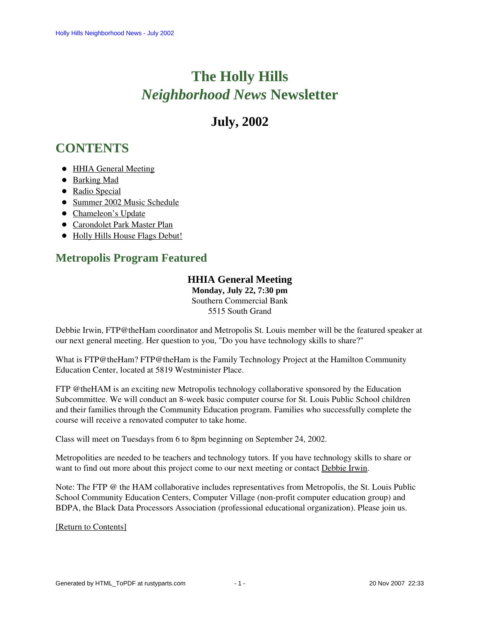# **The Holly Hills**  *Neighborhood News* **Newsletter**

# **July, 2002**

# <span id="page-0-1"></span>**CONTENTS**

- [HHIA General Meeting](#page-0-0)
- [Barking Mad](#page-1-0)
- [Radio Special](#page-1-1)
- [Summer 2002 Music Schedule](#page-2-0)
- [Chameleon's Update](#page-2-1)
- [Carondolet Park Master Plan](#page-3-0)
- [Holly Hills House Flags Debut!](#page-3-1)

## <span id="page-0-0"></span>**Metropolis Program Featured**

### **HHIA General Meeting**

**Monday, July 22, 7:30 pm** Southern Commercial Bank 5515 South Grand

Debbie Irwin, FTP@theHam coordinator and Metropolis St. Louis member will be the featured speaker at our next general meeting. Her question to you, "Do you have technology skills to share?"

What is FTP@theHam? FTP@theHam is the Family Technology Project at the Hamilton Community Education Center, located at 5819 Westminister Place.

FTP @theHAM is an exciting new Metropolis technology collaborative sponsored by the Education Subcommittee. We will conduct an 8-week basic computer course for St. Louis Public School children and their families through the Community Education program. Families who successfully complete the course will receive a renovated computer to take home.

Class will meet on Tuesdays from 6 to 8pm beginning on September 24, 2002.

Metropolities are needed to be teachers and technology tutors. If you have technology skills to share or want to find out more about this project come to our next meeting or contact Debbie Irwin.

Note: The FTP @ the HAM collaborative includes representatives from Metropolis, the St. Louis Public School Community Education Centers, Computer Village (non-profit computer education group) and BDPA, the Black Data Processors Association (professional educational organization). Please join us.

[\[Return to Contents\]](#page-0-1)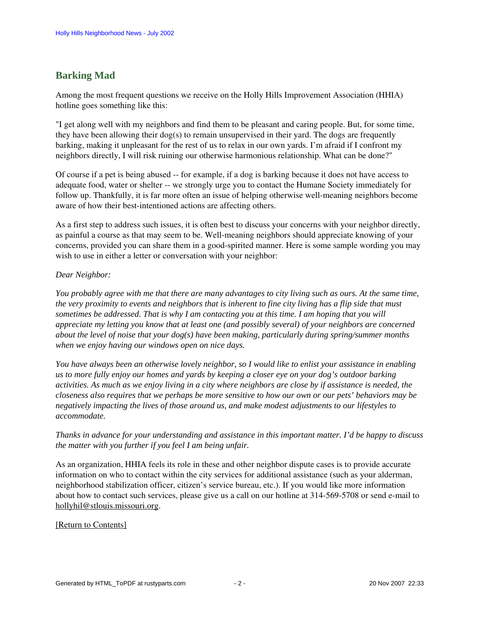### <span id="page-1-0"></span>**Barking Mad**

Among the most frequent questions we receive on the Holly Hills Improvement Association (HHIA) hotline goes something like this:

"I get along well with my neighbors and find them to be pleasant and caring people. But, for some time, they have been allowing their  $\log(s)$  to remain unsupervised in their yard. The dogs are frequently barking, making it unpleasant for the rest of us to relax in our own yards. I'm afraid if I confront my neighbors directly, I will risk ruining our otherwise harmonious relationship. What can be done?"

Of course if a pet is being abused -- for example, if a dog is barking because it does not have access to adequate food, water or shelter -- we strongly urge you to contact the Humane Society immediately for follow up. Thankfully, it is far more often an issue of helping otherwise well-meaning neighbors become aware of how their best-intentioned actions are affecting others.

As a first step to address such issues, it is often best to discuss your concerns with your neighbor directly, as painful a course as that may seem to be. Well-meaning neighbors should appreciate knowing of your concerns, provided you can share them in a good-spirited manner. Here is some sample wording you may wish to use in either a letter or conversation with your neighbor:

#### *Dear Neighbor:*

*You probably agree with me that there are many advantages to city living such as ours. At the same time, the very proximity to events and neighbors that is inherent to fine city living has a flip side that must sometimes be addressed. That is why I am contacting you at this time. I am hoping that you will appreciate my letting you know that at least one (and possibly several) of your neighbors are concerned about the level of noise that your dog(s) have been making, particularly during spring/summer months when we enjoy having our windows open on nice days.*

*You have always been an otherwise lovely neighbor, so I would like to enlist your assistance in enabling us to more fully enjoy our homes and yards by keeping a closer eye on your dog's outdoor barking activities. As much as we enjoy living in a city where neighbors are close by if assistance is needed, the closeness also requires that we perhaps be more sensitive to how our own or our pets' behaviors may be negatively impacting the lives of those around us, and make modest adjustments to our lifestyles to accommodate.*

*Thanks in advance for your understanding and assistance in this important matter. I'd be happy to discuss the matter with you further if you feel I am being unfair.*

As an organization, HHIA feels its role in these and other neighbor dispute cases is to provide accurate information on who to contact within the city services for additional assistance (such as your alderman, neighborhood stabilization officer, citizen's service bureau, etc.). If you would like more information about how to contact such services, please give us a call on our hotline at 314-569-5708 or send e-mail to hollyhil@stlouis.missouri.org.

#### <span id="page-1-1"></span>[\[Return to Contents\]](#page-0-1)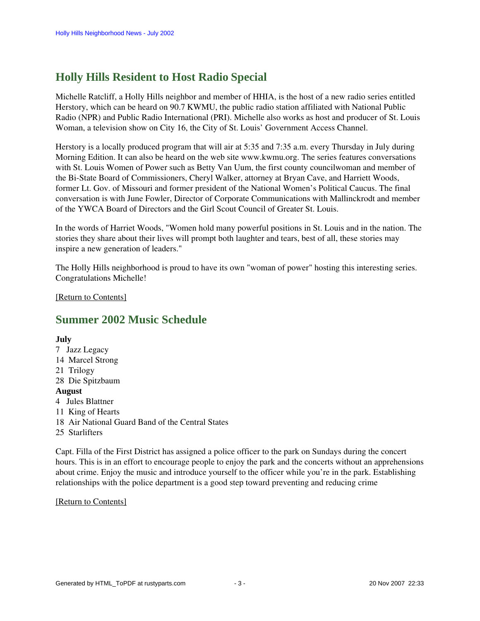# **Holly Hills Resident to Host Radio Special**

Michelle Ratcliff, a Holly Hills neighbor and member of HHIA, is the host of a new radio series entitled Herstory, which can be heard on 90.7 KWMU, the public radio station affiliated with National Public Radio (NPR) and Public Radio International (PRI). Michelle also works as host and producer of St. Louis Woman, a television show on City 16, the City of St. Louis' Government Access Channel.

Herstory is a locally produced program that will air at 5:35 and 7:35 a.m. every Thursday in July during Morning Edition. It can also be heard on the web site www.kwmu.org. The series features conversations with St. Louis Women of Power such as Betty Van Uum, the first county councilwoman and member of the Bi-State Board of Commissioners, Cheryl Walker, attorney at Bryan Cave, and Harriett Woods, former Lt. Gov. of Missouri and former president of the National Women's Political Caucus. The final conversation is with June Fowler, Director of Corporate Communications with Mallinckrodt and member of the YWCA Board of Directors and the Girl Scout Council of Greater St. Louis.

In the words of Harriet Woods, "Women hold many powerful positions in St. Louis and in the nation. The stories they share about their lives will prompt both laughter and tears, best of all, these stories may inspire a new generation of leaders."

The Holly Hills neighborhood is proud to have its own "woman of power" hosting this interesting series. Congratulations Michelle!

<span id="page-2-0"></span>[\[Return to Contents\]](#page-0-1)

## **Summer 2002 Music Schedule**

### **July**

7 Jazz Legacy 14 Marcel Strong 21 Trilogy 28 Die Spitzbaum **August** 4 Jules Blattner 11 King of Hearts 18 Air National Guard Band of the Central States 25 Starlifters

Capt. Filla of the First District has assigned a police officer to the park on Sundays during the concert hours. This is in an effort to encourage people to enjoy the park and the concerts without an apprehensions about crime. Enjoy the music and introduce yourself to the officer while you're in the park. Establishing relationships with the police department is a good step toward preventing and reducing crime

#### <span id="page-2-1"></span>[\[Return to Contents\]](#page-0-1)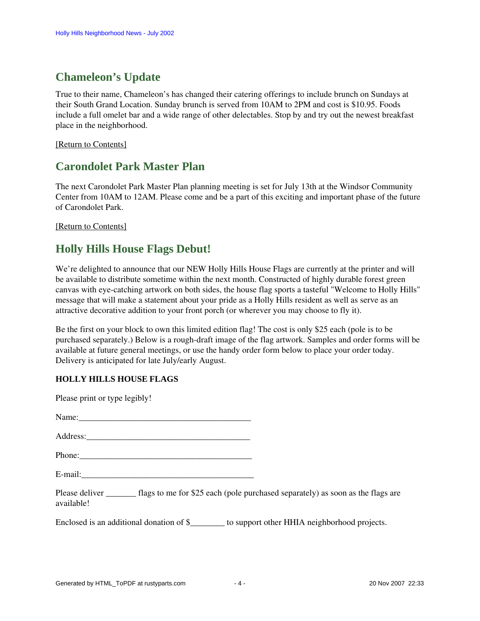# **Chameleon's Update**

True to their name, Chameleon's has changed their catering offerings to include brunch on Sundays at their South Grand Location. Sunday brunch is served from 10AM to 2PM and cost is \$10.95. Foods include a full omelet bar and a wide range of other delectables. Stop by and try out the newest breakfast place in the neighborhood.

<span id="page-3-0"></span>[\[Return to Contents\]](#page-0-1) 

### **Carondolet Park Master Plan**

The next Carondolet Park Master Plan planning meeting is set for July 13th at the Windsor Community Center from 10AM to 12AM. Please come and be a part of this exciting and important phase of the future of Carondolet Park.

[\[Return to Contents\]](#page-0-1)

## <span id="page-3-1"></span>**Holly Hills House Flags Debut!**

We're delighted to announce that our NEW Holly Hills House Flags are currently at the printer and will be available to distribute sometime within the next month. Constructed of highly durable forest green canvas with eye-catching artwork on both sides, the house flag sports a tasteful "Welcome to Holly Hills" message that will make a statement about your pride as a Holly Hills resident as well as serve as an attractive decorative addition to your front porch (or wherever you may choose to fly it).

Be the first on your block to own this limited edition flag! The cost is only \$25 each (pole is to be purchased separately.) Below is a rough-draft image of the flag artwork. Samples and order forms will be available at future general meetings, or use the handy order form below to place your order today. Delivery is anticipated for late July/early August.

### **HOLLY HILLS HOUSE FLAGS**

| Please print or type legibly!                                                                                           |  |
|-------------------------------------------------------------------------------------------------------------------------|--|
|                                                                                                                         |  |
|                                                                                                                         |  |
|                                                                                                                         |  |
| E-mail:                                                                                                                 |  |
| Please deliver ___________ flags to me for \$25 each (pole purchased separately) as soon as the flags are<br>available! |  |
| Enclosed is an additional donation of \$__________ to support other HHIA neighborhood projects.                         |  |